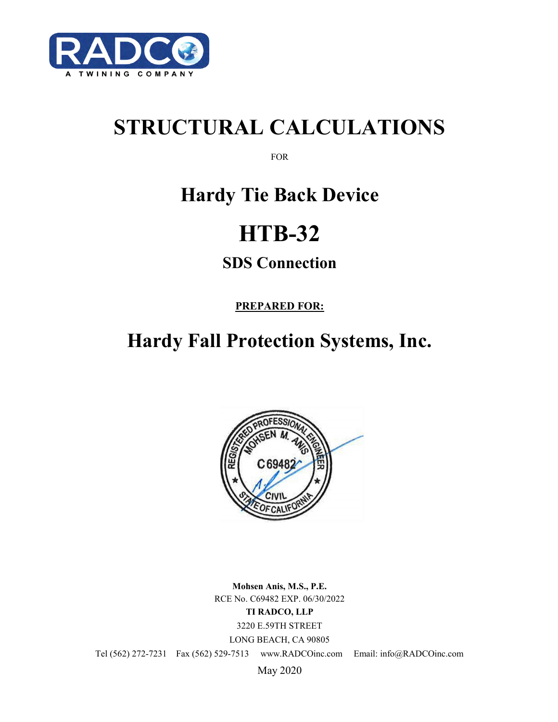

# **STRUCTURAL CALCULATIONS**

FOR

## **Hardy Tie Back Device**

# **HTB-32**

### **SDS Connection**

**PREPARED FOR:**

## **Hardy Fall Protection Systems, Inc.**



**Mohsen Anis, M.S., P.E.** RCE No. C69482 EXP. 06/30/2022 **TI RADCO, LLP** 3220 E.59TH STREET LONG BEACH, CA 90805

Tel (562) 272-7231 Fax (562) 529-7513 www.RADCOinc.com Email: info@RADCOinc.com

May 2020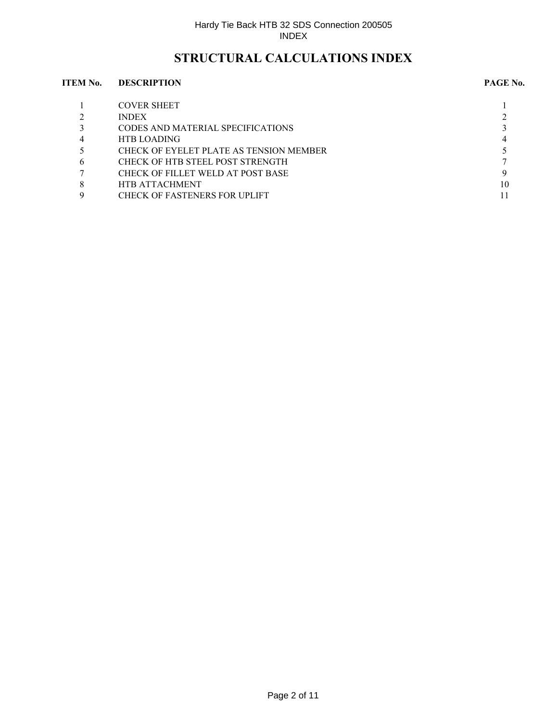### **STRUCTURAL CALCULATIONS INDEX**

#### **ITEM No. DESCRIPTION PAGE No.**

|                | <b>COVER SHEET</b>                      |    |
|----------------|-----------------------------------------|----|
|                | <b>INDEX</b>                            |    |
|                | CODES AND MATERIAL SPECIFICATIONS       |    |
| $\overline{4}$ | <b>HTB LOADING</b>                      |    |
|                | CHECK OF EYELET PLATE AS TENSION MEMBER |    |
| 6              | CHECK OF HTB STEEL POST STRENGTH        |    |
|                | CHECK OF FILLET WELD AT POST BASE       |    |
| 8              | <b>HTB ATTACHMENT</b>                   | 10 |
|                | <b>CHECK OF FASTENERS FOR UPLIFT</b>    |    |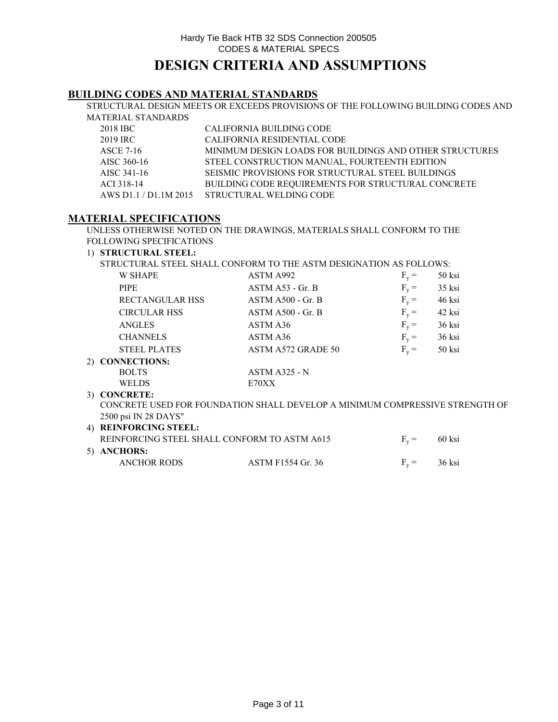### **BUILDING CODES AND MATERIAL STANDARDS**

STRUCTURAL DESIGN MEETS OR EXCEEDS PROVISIONS OF THE FOLLOWING BUILDING CODES AND MATERIAL STANDARDS

| 2018 IBC    | CALIFORNIA BUILDING CODE                                  |
|-------------|-----------------------------------------------------------|
| 2019 IRC    | CALIFORNIA RESIDENTIAL CODE                               |
| ASCE 7-16   | MINIMUM DESIGN LOADS FOR BUILDINGS AND OTHER STRUCTURES   |
| AISC 360-16 | STEEL CONSTRUCTION MANUAL, FOURTEENTH EDITION             |
| AISC 341-16 | SEISMIC PROVISIONS FOR STRUCTURAL STEEL BUILDINGS         |
| ACI 318-14  | <b>BUILDING CODE REOUIREMENTS FOR STRUCTURAL CONCRETE</b> |
|             | AWS D1.1 / D1.1M 2015 STRUCTURAL WELDING CODE             |

#### **MATERIAL SPECIFICATIONS**

UNLESS OTHERWISE NOTED ON THE DRAWINGS, MATERIALS SHALL CONFORM TO THE FOLLOWING SPECIFICATIONS

#### 1) **STRUCTURAL STEEL:**

STRUCTURAL STEEL SHALL CONFORM TO THE ASTM DESIGNATION AS FOLLOWS:

| <b>W SHAPE</b>         | ASTM A992                                                                    | $F_v =$ | 50 ksi   |  |
|------------------------|------------------------------------------------------------------------------|---------|----------|--|
| <b>PIPE</b>            | $ASTM A53 - Gr. B$                                                           | $F_v =$ | $35$ ksi |  |
| <b>RECTANGULAR HSS</b> | $ASTM A500 - Gr. B$                                                          | $F_v =$ | 46 ksi   |  |
| <b>CIRCULAR HSS</b>    | $ASTM A500 - Gr. B$                                                          | $F_v =$ | 42 ksi   |  |
| <b>ANGLES</b>          | ASTM A36                                                                     | $F_v =$ | 36 ksi   |  |
| <b>CHANNELS</b>        | ASTM A36                                                                     | $F_v =$ | 36 ksi   |  |
| <b>STEEL PLATES</b>    | ASTM A572 GRADE 50                                                           | $F_v =$ | 50 ksi   |  |
| 2) CONNECTIONS:        |                                                                              |         |          |  |
| <b>BOLTS</b>           | $ASTM A325 - N$                                                              |         |          |  |
| <b>WELDS</b>           | E70XX                                                                        |         |          |  |
| 3) CONCRETE:           |                                                                              |         |          |  |
|                        | CONCRETE USED FOR FOUNDATION SHALL DEVELOP A MINIMUM COMPRESSIVE STRENGTH OF |         |          |  |
| $2500$ noi IN 28 DAVC" |                                                                              |         |          |  |

#### 4) **REINFORCING STEEL:** REINFORCING STEEL SHALL CONFORM TO ASTM A615  $F_v = 60$  ksi 5) **ANCHORS:** ANCHOR RODS ASTM F1554 Gr. 36  $F_v = 36$  ksi 2500 psi IN 28 DAYS"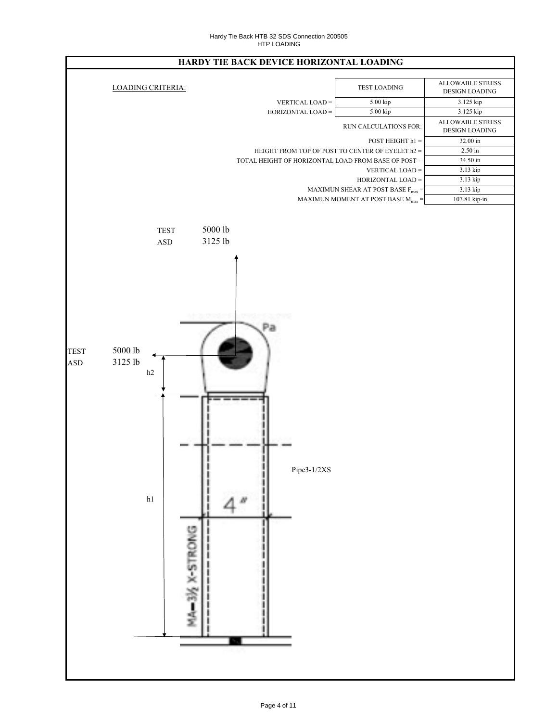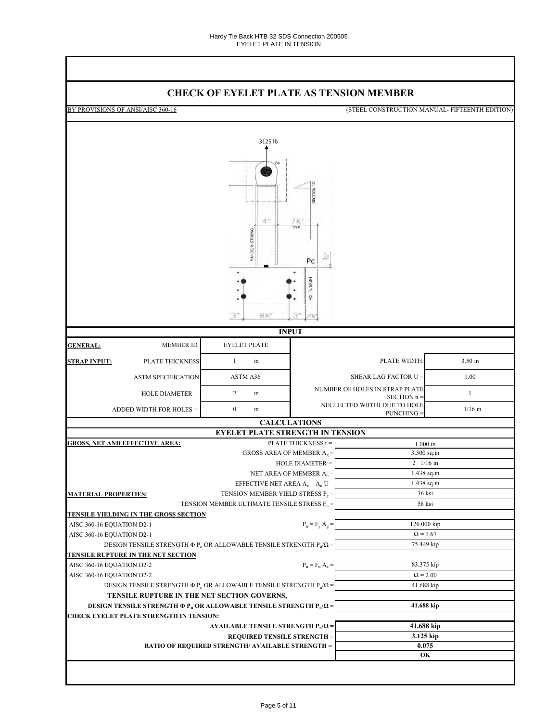### **CHECK OF EYELET PLATE AS TENSION MEMBER**

|                                                                                                 | <u>CHECK OF EXELET FLATE AS TENSION MEMBER</u>                                  |                                              |                                            |                                                |  |  |
|-------------------------------------------------------------------------------------------------|---------------------------------------------------------------------------------|----------------------------------------------|--------------------------------------------|------------------------------------------------|--|--|
| BY PROVISIONS OF ANSI/AISC 360-16                                                               |                                                                                 |                                              |                                            | (STEEL CONSTRUCTION MANUAL- FIFTEENTH EDITION) |  |  |
|                                                                                                 |                                                                                 |                                              |                                            |                                                |  |  |
|                                                                                                 | 3125 lb                                                                         |                                              |                                            |                                                |  |  |
|                                                                                                 |                                                                                 |                                              |                                            |                                                |  |  |
|                                                                                                 | 4.<br>$MA = 3\frac{1}{2}$ X-STRONG                                              | SECTION<br>$7\frac{V_4}{TYP}$<br>Pc          |                                            |                                                |  |  |
|                                                                                                 |                                                                                 | $Pd = \frac{1}{4}$ SKIRT                     |                                            |                                                |  |  |
|                                                                                                 |                                                                                 |                                              |                                            |                                                |  |  |
|                                                                                                 |                                                                                 |                                              |                                            |                                                |  |  |
|                                                                                                 | $8\%$<br>3''                                                                    | 3″<br>2%                                     |                                            |                                                |  |  |
|                                                                                                 | <b>INPUT</b>                                                                    |                                              |                                            |                                                |  |  |
| <b>MEMBER ID</b><br><b>GENERAL:</b>                                                             | <b>EYELET PLATE</b>                                                             |                                              |                                            |                                                |  |  |
| <b>STRAP INPUT:</b><br>PLATE THICKNESS                                                          | $\mathbf{1}$<br>in                                                              | PLATE WIDTH:                                 |                                            | 3.50 in                                        |  |  |
| <b>ASTM SPECIFICATION</b>                                                                       | ASTM A36                                                                        |                                              |                                            | 1.00                                           |  |  |
| HOLE DIAMETER =                                                                                 | $\overline{c}$<br>in                                                            | NUMBER OF HOLES IN STRAP PLATE               |                                            | $\mathbf{1}$                                   |  |  |
|                                                                                                 |                                                                                 |                                              | SECTION n =<br>NEGLECTED WIDTH DUE TO HOLE |                                                |  |  |
| ADDED WIDTH FOR HOLES =                                                                         | $\boldsymbol{0}$<br>in                                                          |                                              | PUNCHING =                                 | $1/16$ in                                      |  |  |
|                                                                                                 | <b>CALCULATIONS</b><br><b>EYELET PLATE STRENGTH IN TENSION</b>                  |                                              |                                            |                                                |  |  |
| <b>GROSS, NET AND EFFECTIVE AREA:</b>                                                           |                                                                                 | PLATE THICKNESS t =                          |                                            |                                                |  |  |
|                                                                                                 | GROSS AREA OF MEMBER $A_g =$                                                    |                                              |                                            | $1.000$ in<br>3.500 sq.in                      |  |  |
|                                                                                                 |                                                                                 | HOLE DIAMETER =                              |                                            | $2 \frac{1}{16}$ in                            |  |  |
|                                                                                                 | NET AREA OF MEMBER $A_n =$                                                      |                                              | 1.438 sq.in                                |                                                |  |  |
|                                                                                                 | EFFECTIVE NET AREA $A_e = A_n U =$                                              |                                              | 1.438 sq.in                                |                                                |  |  |
| <b>MATERIAL PROPERTIES:</b>                                                                     | TENSION MEMBER YIELD STRESS $F_y =$                                             |                                              |                                            | 36 ksi                                         |  |  |
|                                                                                                 | TENSION MEMBER ULTIMATE TENSILE STRESS $\rm{F_u}$ =                             |                                              | 58 ksi                                     |                                                |  |  |
| <u>TENSILE YIELDING IN THE GROSS SECTION</u>                                                    |                                                                                 |                                              |                                            |                                                |  |  |
| AISC 360-16 EQUATION D2-1                                                                       |                                                                                 | $P_n = F_y A_g =$                            | 126.000 kip                                |                                                |  |  |
| AISC 360-16 EQUATION D2-1                                                                       |                                                                                 |                                              | $\Omega$ = 1.67                            |                                                |  |  |
|                                                                                                 | DESIGN TENSILE STRENGTH $\Phi P_n$ OR ALLOWABLE TENSILE STRENGTH $P_n/\Omega$ = |                                              |                                            | 75.449 kip                                     |  |  |
| <u>TENSILE RUPTURE IN THE NET SECTION</u>                                                       |                                                                                 |                                              |                                            |                                                |  |  |
| AISC 360-16 EQUATION D2-2                                                                       |                                                                                 | $\mathbf{P_n} = \mathbf{F_u} \mathbf{A_e} =$ | 83.375 kip                                 |                                                |  |  |
| AISC 360-16 EQUATION D2-2                                                                       |                                                                                 |                                              | $\Omega = 2.00$                            |                                                |  |  |
|                                                                                                 | DESIGN TENSILE STRENGTH $\Phi P_n$ OR ALLOWABLE TENSILE STRENGTH $P_n/\Omega$ = |                                              | 41.688 kip                                 |                                                |  |  |
| TENSILE RUPTURE IN THE NET SECTION GOVERNS,                                                     |                                                                                 |                                              |                                            |                                                |  |  |
| DESIGN TENSILE STRENGTH $\Phi$ P <sub>n</sub> OR ALLOWABLE TENSILE STRENGTH P <sub>n</sub> /Ω = |                                                                                 |                                              | 41.688 kip                                 |                                                |  |  |
| <b>CHECK EYELET PLATE STRENGTH IN TENSION:</b>                                                  |                                                                                 |                                              |                                            |                                                |  |  |
|                                                                                                 | AVAILABLE TENSILE STRENGTH $P_n/\Omega$ =                                       |                                              | 41.688 kip                                 |                                                |  |  |
|                                                                                                 | <b>REQUIRED TENSILE STRENGTH =</b>                                              |                                              | 3.125 kip                                  |                                                |  |  |
|                                                                                                 | <b>RATIO OF REQUIRED STRENGTH/ AVAILABLE STRENGTH =</b>                         |                                              | 0.075<br>OК                                |                                                |  |  |
|                                                                                                 |                                                                                 |                                              |                                            |                                                |  |  |
|                                                                                                 |                                                                                 |                                              |                                            |                                                |  |  |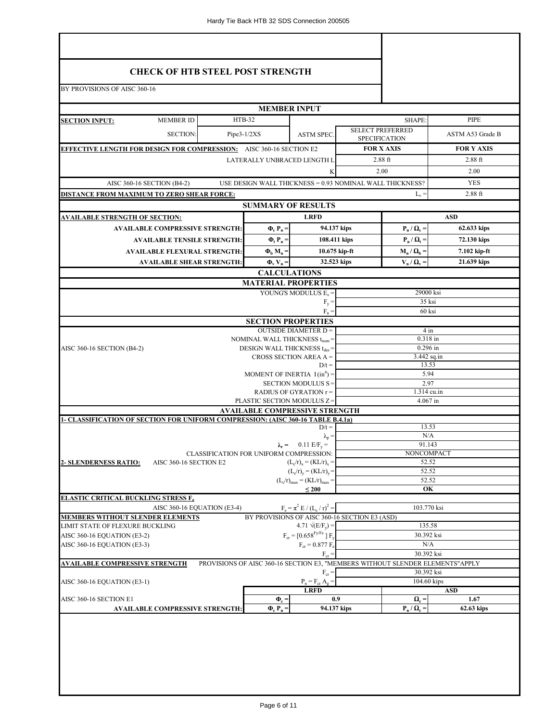| <b>CHECK OF HTB STEEL POST STRENGTH</b><br>BY PROVISIONS OF AISC 360-16                 |               |                                                                                       |                                                |                                                          |                                                            |                                                                               |  |
|-----------------------------------------------------------------------------------------|---------------|---------------------------------------------------------------------------------------|------------------------------------------------|----------------------------------------------------------|------------------------------------------------------------|-------------------------------------------------------------------------------|--|
|                                                                                         |               |                                                                                       |                                                |                                                          |                                                            |                                                                               |  |
|                                                                                         |               | <b>MEMBER INPUT</b>                                                                   |                                                |                                                          |                                                            |                                                                               |  |
| <b>MEMBER ID</b><br><b>SECTION INPUT:</b>                                               | <b>HTB-32</b> |                                                                                       |                                                |                                                          | SHAPE:                                                     | PIPE                                                                          |  |
| <b>SECTION:</b>                                                                         | $Pipe3-1/2XS$ |                                                                                       | <b>ASTM SPEC.</b>                              | <b>SELECT PREFERRED</b><br><b>SPECIFICATION</b>          |                                                            | ASTM A53 Grade B                                                              |  |
| <b>EFFECTIVE LENGTH FOR DESIGN FOR COMPRESSION:</b> AISC 360-16 SECTION E2              |               |                                                                                       |                                                |                                                          | <b>FOR X AXIS</b>                                          | <b>FOR Y AXIS</b>                                                             |  |
|                                                                                         |               | LATERALLY UNBRACED LENGTH L                                                           |                                                |                                                          | $2.88$ ft                                                  | $2.88$ ft                                                                     |  |
|                                                                                         |               |                                                                                       | K                                              |                                                          | 2.00                                                       | 2.00                                                                          |  |
| AISC 360-16 SECTION (B4-2)                                                              |               |                                                                                       |                                                | USE DESIGN WALL THICKNESS = 0.93 NOMINAL WALL THICKNESS? |                                                            | <b>YES</b>                                                                    |  |
| DISTANCE FROM MAXIMUM TO ZERO SHEAR FORCE:                                              |               |                                                                                       |                                                |                                                          | $L_v =$                                                    | $2.88$ ft                                                                     |  |
|                                                                                         |               | <b>SUMMARY OF RESULTS</b>                                                             |                                                |                                                          |                                                            |                                                                               |  |
| <u>AVAILABLE STRENGTH OF SECTION:</u>                                                   |               |                                                                                       | <b>LRFD</b>                                    |                                                          |                                                            | <b>ASD</b>                                                                    |  |
| <b>AVAILABLE COMPRESSIVE STRENGTH:</b>                                                  |               | $\Phi_{\rm c} P_{\rm n} =$                                                            |                                                | 94.137 kips<br>108.411 kips                              | $\mathbf{P}_{\mathbf{n}} / \mathbf{\Omega}_{\mathbf{c}} =$ | 62.633 kips<br>72.130 kips                                                    |  |
| <b>AVAILABLE TENSILE STRENGTH:</b><br><b>AVAILABLE FLEXURAL STRENGTH:</b>               |               | $\Phi_t$ P <sub>n</sub> =<br>$\Phi_{\rm h}$ M <sub>n</sub> =                          |                                                | $10.675$ kip-ft                                          | $P_n / Q_t =$<br>$M_n / \Omega_b =$                        | 7.102 kip-ft                                                                  |  |
| <b>AVAILABLE SHEAR STRENGTH:</b>                                                        |               | $\Phi_{\rm v}$ V <sub>n</sub> =                                                       |                                                | 32.523 kips                                              | $V_n / \Omega_v$ =                                         | 21.639 kips                                                                   |  |
|                                                                                         |               | <b>CALCULATIONS</b>                                                                   |                                                |                                                          |                                                            |                                                                               |  |
|                                                                                         |               | <b>MATERIAL PROPERTIES</b>                                                            |                                                |                                                          |                                                            |                                                                               |  |
|                                                                                         |               |                                                                                       | YOUNG'S MODULUS $E_s =$                        |                                                          | 29000 ksi                                                  |                                                                               |  |
|                                                                                         |               |                                                                                       | $F_v =$<br>$F_n =$                             |                                                          | 35 ksi<br>60 ksi                                           |                                                                               |  |
|                                                                                         |               | <b>SECTION PROPERTIES</b>                                                             |                                                |                                                          |                                                            |                                                                               |  |
|                                                                                         |               |                                                                                       | <b>OUTSIDE DIAMETER D =</b>                    |                                                          | $4 \text{ in}$                                             |                                                                               |  |
|                                                                                         |               | NOMINAL WALL THICKNESS t <sub>nom</sub> =<br>DESIGN WALL THICKNESS t <sub>des</sub> = |                                                |                                                          | 0.318 in                                                   |                                                                               |  |
| AISC 360-16 SECTION (B4-2)                                                              |               |                                                                                       | CROSS SECTION AREA $A =$                       |                                                          | $0.296$ in<br>$3.442$ sq.in                                |                                                                               |  |
|                                                                                         |               |                                                                                       | $D/t =$                                        |                                                          | 13.53<br>5.94                                              |                                                                               |  |
|                                                                                         |               | MOMENT OF INERTIA $I(in^4) =$                                                         | SECTION MODULUS S=                             |                                                          | 2.97                                                       |                                                                               |  |
|                                                                                         |               |                                                                                       | RADIUS OF GYRATION r =                         |                                                          | 1.314 cu.in                                                |                                                                               |  |
|                                                                                         |               | PLASTIC SECTION MODULUS Z=                                                            |                                                |                                                          | 4.067 in                                                   |                                                                               |  |
| <b>1- CLASSIFICATION OF SECTION FOR UNIFORM COMPRESSION: (AISC 360-16 TABLE B.4.1a)</b> |               | <b>AVAILABLE COMPRESSIVE STRENGTH</b>                                                 |                                                |                                                          |                                                            |                                                                               |  |
|                                                                                         |               |                                                                                       | $D/t =$                                        |                                                          | 13.53                                                      |                                                                               |  |
|                                                                                         |               |                                                                                       | $\lambda_{\rm p} =$                            |                                                          | N/A                                                        |                                                                               |  |
|                                                                                         |               | CLASSIFICATION FOR UNIFORM COMPRESSION:                                               | $\lambda_r = 0.11 \text{ E/F}_y =$             |                                                          | 91.143<br>NONCOMPACT                                       |                                                                               |  |
| AISC 360-16 SECTION E2<br><b>2- SLENDERNESS RATIO:</b>                                  |               | $(L_c/r)_x = (KL/r)_x =$                                                              |                                                |                                                          | 52.52                                                      |                                                                               |  |
|                                                                                         |               |                                                                                       | $(L_c/r)_v = (KL/r)_v =$                       |                                                          | 52.52                                                      |                                                                               |  |
|                                                                                         |               |                                                                                       | $(L_c/r)_{max} = (KL/r)_{max} =$<br>$\leq 200$ | 52.52<br>OK                                              |                                                            |                                                                               |  |
| <b>ELASTIC CRITICAL BUCKLING STRESS F.</b>                                              |               |                                                                                       |                                                |                                                          |                                                            |                                                                               |  |
| AISC 360-16 EQUATION (E3-4)<br><b>MEMBERS WITHOUT SLENDER ELEMENTS</b>                  |               |                                                                                       | $F_e = \pi^2 E / (L_c / r)^2$                  | BY PROVISIONS OF AISC 360-16 SECTION E3 (ASD)            | 103.770 ksi                                                |                                                                               |  |
| LIMIT STATE OF FLEXURE BUCKLING                                                         |               |                                                                                       | 4.71 $\sqrt{(E/F_v)}$ =                        |                                                          | 135.58                                                     |                                                                               |  |
| AISC 360-16 EQUATION (E3-2)                                                             |               |                                                                                       | $F_{cr}$ = [0.658 <sup>Fy/Fe</sup> ] $F_{v}$   |                                                          | 30.392 ksi                                                 |                                                                               |  |
| AISC 360-16 EQUATION (E3-3)                                                             |               |                                                                                       | $F_{cr} = 0.877 F_e$                           |                                                          | N/A                                                        |                                                                               |  |
| <b>AVAILABLE COMPRESSIVE STRENGTH</b>                                                   |               |                                                                                       | $F_{cr} =$                                     |                                                          | 30.392 ksi                                                 | PROVISIONS OF AISC 360-16 SECTION E3, "MEMBERS WITHOUT SLENDER ELEMENTS"APPLY |  |
|                                                                                         |               |                                                                                       | $F_{cr} =$                                     |                                                          | 30.392 ksi                                                 |                                                                               |  |
| AISC 360-16 EQUATION (E3-1)                                                             |               |                                                                                       | $P_n = F_{cr} A_e =$<br><b>LRFD</b>            |                                                          | 104.60 kips                                                |                                                                               |  |
|                                                                                         |               | $\Phi_{c} =$                                                                          |                                                | 0.9                                                      | $\Omega_{\rm c} =$                                         | <b>ASD</b><br>1.67                                                            |  |
| AISC 360-16 SECTION E1                                                                  |               |                                                                                       |                                                |                                                          |                                                            |                                                                               |  |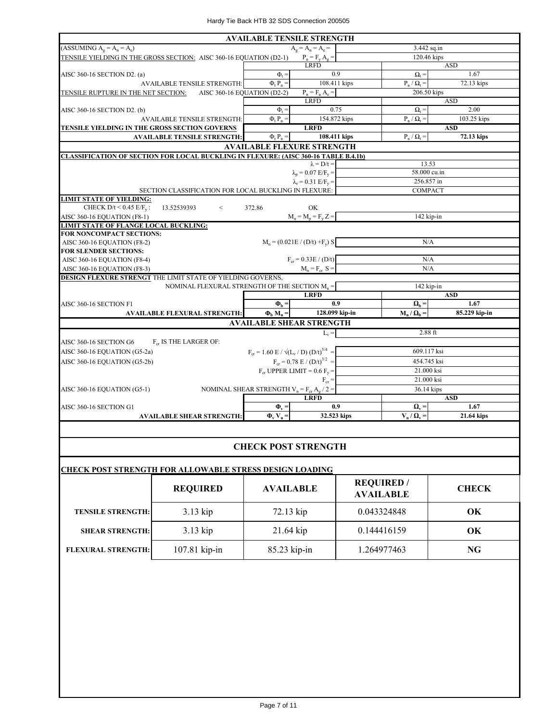|                                                                                            | <b>AVAILABLE TENSILE STRENGTH</b>                                 |                                           |                                                        |                    |
|--------------------------------------------------------------------------------------------|-------------------------------------------------------------------|-------------------------------------------|--------------------------------------------------------|--------------------|
| $(ASSUMING Ag = An = Ae)$                                                                  |                                                                   | $A_{\sigma} = A_{n} = A_{e} =$            | 3.442 sq.in                                            |                    |
| TENSILE YIELDING IN THE GROSS SECTION: AISC 360-16 EQUATION (D2-1)                         | $P_n = F_y A_g =$                                                 |                                           | 120.46 kips                                            |                    |
|                                                                                            |                                                                   | <b>LRFD</b>                               | <b>ASD</b>                                             |                    |
| AISC 360-16 SECTION D2. (a)                                                                | $\Phi$ <sub>+</sub>                                               | 0.9                                       | $\Omega_t =$                                           | 1.67               |
| <b>AVAILABLE TENSILE STRENGTH:</b>                                                         | $\Phi$ <sub>t</sub> $P_n =$                                       | 108.411 kips                              | $P_n / \Omega_t =$                                     | 72.13 kips         |
| TENSILE RUPTURE IN THE NET SECTION: AISC 360-16 EQUATION (D2-2)                            |                                                                   | $P_n = F_n A_e =$                         | 206.50 kips                                            |                    |
|                                                                                            |                                                                   | <b>LRFD</b>                               |                                                        | <b>ASD</b>         |
| AISC 360-16 SECTION D2. (b)                                                                | $\Phi_t =$                                                        | 0.75                                      | $\Omega_{\rm t} =$                                     | 2.00               |
| <b>AVAILABLE TENSILE STRENGTH:</b>                                                         | $\Phi$ <sub>t</sub> $P_n =$                                       | 154.872 kips                              | $P_n / Q_t =$                                          | 103.25 kips        |
| TENSILE YIELDING IN THE GROSS SECTION GOVERNS                                              |                                                                   | <b>LRFD</b>                               |                                                        | <b>ASD</b>         |
| <b>AVAILABLE TENSILE STRENGTH:</b>                                                         | $\Phi$ <sub>t</sub> $P_n =$                                       | 108.411 kips                              | $P_n / Q_t =$                                          | 72.13 kips         |
|                                                                                            |                                                                   | <b>AVAILABLE FLEXURE STRENGTH</b>         |                                                        |                    |
| <b>CLASSIFICATION OF SECTION FOR LOCAL BUCKLING IN FLEXURE: (AISC 360-16 TABLE B.4.1b)</b> |                                                                   |                                           |                                                        |                    |
|                                                                                            |                                                                   | $\lambda = D/t =$                         | 13.53                                                  |                    |
|                                                                                            |                                                                   | $\lambda_p = 0.07$ E/F <sub>v</sub> =     | 58.000 cu.in                                           |                    |
|                                                                                            |                                                                   | $\lambda_r = 0.31$ E/F <sub>v</sub> =     | 256.857 in                                             |                    |
| SECTION CLASSIFICATION FOR LOCAL BUCKLING IN FLEXURE:                                      |                                                                   |                                           | <b>COMPACT</b>                                         |                    |
| <b>LIMIT STATE OF YIELDING:</b>                                                            |                                                                   |                                           |                                                        |                    |
| CHECK $D/t < 0.45$ E/F <sub>v</sub> :<br>13.52539393<br>$\lt$                              | 372.86                                                            | OK                                        |                                                        |                    |
| AISC 360-16 EQUATION (F8-1)                                                                |                                                                   | $M_n = M_p = F_v Z =$                     | 142 kip-in                                             |                    |
| <b>LIMIT STATE OF FLANGE LOCAL BUCKLING:</b>                                               |                                                                   |                                           |                                                        |                    |
| FOR NONCOMPACT SECTIONS:                                                                   | $M_n = (0.021E / (D/t) + F_v) S$                                  |                                           | N/A                                                    |                    |
| AISC 360-16 EQUATION (F8-2)<br><b>FOR SLENDER SECTIONS:</b>                                |                                                                   |                                           |                                                        |                    |
| AISC 360-16 EQUATION (F8-4)                                                                |                                                                   | $F_{cr} = 0.33E / (D/t)$                  | N/A                                                    |                    |
| AISC 360-16 EQUATION (F8-3)                                                                |                                                                   | $M_n = F_{cr} S =$                        | N/A                                                    |                    |
| DESIGN FLEXURE STRENGT THE LIMIT STATE OF YIELDING GOVERNS,                                |                                                                   |                                           |                                                        |                    |
| NOMINAL FLEXURAL STRENGTH OF THE SECTION $M_n =$                                           |                                                                   |                                           | 142 kip-in                                             |                    |
|                                                                                            |                                                                   | <b>LRFD</b>                               |                                                        | <b>ASD</b>         |
| AISC 360-16 SECTION F1                                                                     | $\Phi_{\rm b} =$                                                  | 0.9                                       | $\Omega_{\rm b} =$                                     | 1.67               |
| <b>AVAILABLE FLEXURAL STRENGTH:</b>                                                        | $\Phi_{\rm h} M_{\rm n} =$                                        | 128.099 kip-in                            | $M_n / \Omega_b$ =                                     | 85.229 kip-in      |
|                                                                                            | <b>AVAILABLE SHEAR STRENGTH</b>                                   |                                           |                                                        |                    |
|                                                                                            |                                                                   | $L_v =$                                   | $2.88$ ft                                              |                    |
| AISC 360-16 SECTION G6<br>F <sub>cr</sub> IS THE LARGER OF:                                |                                                                   |                                           |                                                        |                    |
| AISC 360-16 EQUATION (G5-2a)                                                               | $F_{cr} = 1.60 \text{ E} / \sqrt{(L_v / \text{D}) (D/t)^{5/4}} =$ |                                           | 609.117 ksi                                            |                    |
|                                                                                            |                                                                   |                                           | 454.745 ksi                                            |                    |
| AISC 360-16 EQUATION (G5-2b)                                                               |                                                                   | $F_{cr} = 0.78 \text{ E} / (D/t)^{3/2}$ = |                                                        |                    |
|                                                                                            | $F_{cr}$ UPPER LIMIT = 0.6 $F_v$ =                                |                                           | 21.000 ksi                                             |                    |
|                                                                                            |                                                                   | $F_{cr} =$                                | 21.000 ksi                                             |                    |
| AISC 360-16 EQUATION (G5-1)                                                                | NOMINAL SHEAR STRENGTH $V_n = F_{cr} A_g / 2 =$                   |                                           | 36.14 kips                                             |                    |
|                                                                                            |                                                                   | <b>LRFD</b>                               |                                                        | <b>ASD</b>         |
| AISC 360-16 SECTION G1<br><b>AVAILABLE SHEAR STRENGTH:</b>                                 | $\Phi_{\rm v}$ =<br>$\Phi_v$ V <sub>n</sub> =                     | 0.9<br>32.523 kips                        | $\mathbf{\Omega}_{\mathbf{v}} =$<br>$V_n / \Omega_v =$ | 1.67<br>21.64 kips |
|                                                                                            |                                                                   |                                           |                                                        |                    |

#### **CHECK POST STRENGTH**

| <b>CHECK POST STRENGTH FOR ALLOWABLE STRESS DESIGN LOADING</b> |                 |                  |                                       |              |  |  |  |  |
|----------------------------------------------------------------|-----------------|------------------|---------------------------------------|--------------|--|--|--|--|
|                                                                | <b>REQUIRED</b> | <b>AVAILABLE</b> | <b>REQUIRED</b> /<br><b>AVAILABLE</b> | <b>CHECK</b> |  |  |  |  |
| <b>TENSILE STRENGTH:</b>                                       | $3.13$ kip      | 72.13 kip        | 0.043324848                           | OK           |  |  |  |  |
| <b>SHEAR STRENGTH:</b>                                         | 3.13 kip        | $21.64$ kip      | 0.144416159                           | OK           |  |  |  |  |
| <b>FLEXURAL STRENGTH:</b>                                      | 107.81 kip-in   | $85.23$ kip-in   | 1.264977463                           | NG           |  |  |  |  |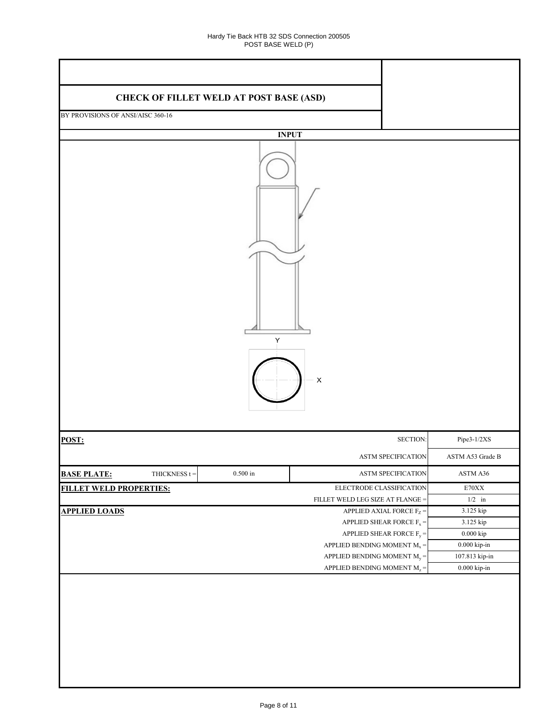| <b>CHECK OF FILLET WELD AT POST BASE (ASD)</b> |                 |                                                 |                       |
|------------------------------------------------|-----------------|-------------------------------------------------|-----------------------|
| BY PROVISIONS OF ANSI/AISC 360-16              |                 |                                                 |                       |
|                                                |                 |                                                 |                       |
|                                                |                 | <b>INPUT</b>                                    |                       |
|                                                |                 | Υ<br>$\pmb{\mathsf{X}}$                         |                       |
| POST:                                          |                 | SECTION:                                        | Pipe3-1/2XS           |
|                                                |                 | ASTM SPECIFICATION                              | ASTM A53 Grade B      |
| <b>BASE PLATE:</b><br>THICKNESS $t =$          | $0.500$ in $\,$ | ASTM SPECIFICATION                              | ASTM A36              |
| <b>FILLET WELD PROPERTIES:</b>                 |                 | ELECTRODE CLASSIFICATION                        | $\rm E70XX$           |
|                                                |                 | FILLET WELD LEG SIZE AT FLANGE =                | $1/2$ in              |
| <b>APPLIED LOADS</b>                           |                 | APPLIED AXIAL FORCE $F_Z =$                     | 3.125 kip             |
|                                                |                 | APPLIED SHEAR FORCE $\mathrm{F}_{\mathrm{x}} =$ | 3.125 kip             |
|                                                |                 | APPLIED SHEAR FORCE $F_y =$                     | $0.000\ \mathrm{kip}$ |
|                                                |                 | APPLIED BENDING MOMENT $\text{M}_\text{x}$ =    | $0.000$ kip-in $\,$   |
|                                                |                 | APPLIED BENDING MOMENT $M_y =$                  | 107.813 kip-in        |
|                                                |                 | APPLIED BENDING MOMENT $\rm M_{z}$ =            | $0.000$ kip-in $\,$   |
|                                                |                 |                                                 |                       |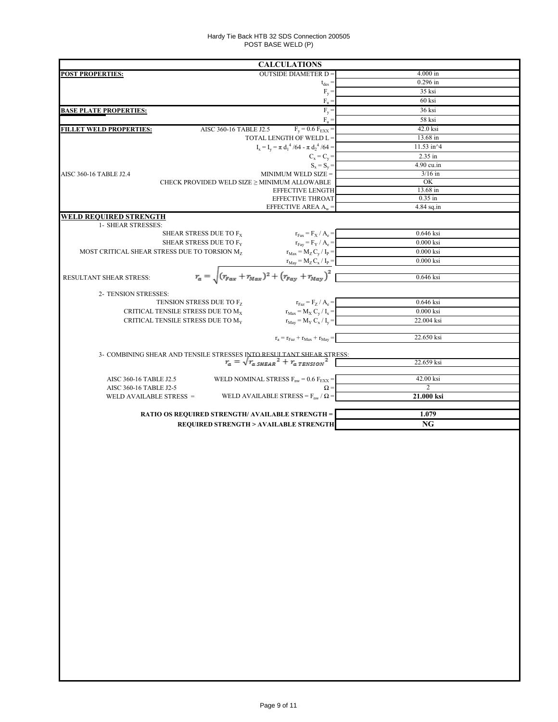#### Hardy Tie Back HTB 32 SDS Connection 200505 POST BASE WELD (P)

|                                                                                                                            | <b>CALCULATIONS</b>                                                                                     |                             |
|----------------------------------------------------------------------------------------------------------------------------|---------------------------------------------------------------------------------------------------------|-----------------------------|
| <b>POST PROPERTIES:</b>                                                                                                    | <b>OUTSIDE DIAMETER D =</b>                                                                             | $4.000$ in                  |
|                                                                                                                            | $t_{des} =$                                                                                             | $0.296$ in                  |
|                                                                                                                            | $F_y =$                                                                                                 | 35 ksi<br>60 ksi            |
|                                                                                                                            | $F_u =$<br>$F_y =$                                                                                      | 36 ksi                      |
| <b>BASE PLATE PROPERTIES:</b>                                                                                              | $F_n =$                                                                                                 | 58 ksi                      |
| <b>FILLET WELD PROPERTIES:</b>                                                                                             | $F_y = 0.6 F_{EXX} =$<br>AISC 360-16 TABLE J2.5                                                         | 42.0 ksi                    |
|                                                                                                                            | TOTAL LENGTH OF WELD L =                                                                                | 13.68 in                    |
|                                                                                                                            | $I_x = I_y = \pi d_1^4 / 64 - \pi d_2^4 / 64 =$                                                         | 11.53 in^4                  |
|                                                                                                                            | $C_x = C_y =$                                                                                           | 2.35 in                     |
|                                                                                                                            | $S_x = S_y =$                                                                                           | 4.90 cu.in                  |
| AISC 360-16 TABLE J2.4                                                                                                     | MINIMUM WELD SIZE =                                                                                     | $3/16$ in                   |
|                                                                                                                            | CHECK PROVIDED WELD SIZE $\geq$ MINIMUM ALLOWABLE<br><b>EFFECTIVE LENGTH</b>                            | OK<br>13.68 in              |
|                                                                                                                            | EFFECTIVE THROAT                                                                                        | $0.35$ in                   |
|                                                                                                                            | EFFECTIVE AREA $A_w =$                                                                                  | $4.84$ sq.in                |
| WELD REQUIRED STRENGTH                                                                                                     |                                                                                                         |                             |
| 1- SHEAR STRESSES:                                                                                                         |                                                                                                         |                             |
| SHEAR STRESS DUE TO F <sub>X</sub>                                                                                         | $r_{\text{Fax}} = F_{\text{X}} / A_{\text{e}} =$                                                        | 0.646 ksi                   |
| SHEAR STRESS DUE TO F <sub>Y</sub><br>MOST CRITICAL SHEAR STRESS DUE TO TORSION M <sub>7</sub>                             | $r_{\text{Fay}} = F_Y / A_e =$<br>$r_{\text{Max}} = M_Z C_y / I_P$                                      | $0.000$ ksi<br>$0.000$ ksi  |
|                                                                                                                            |                                                                                                         | 0.000 ksi                   |
|                                                                                                                            |                                                                                                         |                             |
| RESULTANT SHEAR STRESS:                                                                                                    | $r_a = \sqrt{(r_{Fax} + r_{Max})^2 + (r_{Fay} + r_{May})^2}$                                            | 0.646 ksi                   |
|                                                                                                                            |                                                                                                         |                             |
| 2- TENSION STRESSES:<br>TENSION STRESS DUE TO Fz                                                                           | $r_{\text{Faz}} = F_Z / A_e =$                                                                          | 0.646 ksi                   |
| CRITICAL TENSILE STRESS DUE TO M <sub>x</sub>                                                                              | $r_{\text{Max}} = M_X C_y / I_x =$                                                                      | $0.000$ ksi                 |
| CRITICAL TENSILE STRESS DUE TO M <sub>Y</sub>                                                                              | $r_{\text{May}} = M_Y C_x / I_y =$                                                                      | 22.004 ksi                  |
|                                                                                                                            |                                                                                                         |                             |
|                                                                                                                            | $\mathbf{r}_\mathrm{a} = \mathbf{r}_\mathrm{Faz} + \mathbf{r}_\mathrm{Max} + \mathbf{r}_\mathrm{May} =$ | 22.650 ksi                  |
|                                                                                                                            |                                                                                                         |                             |
| 3- COMBINING SHEAR AND TENSILE STRESSES INTO RESULTANT SHEAR STRESS:<br>$r_a = \sqrt{r_a s_{HEAR}}^2 + r_{a \, TENSION}^2$ |                                                                                                         | 22.659 ksi                  |
|                                                                                                                            |                                                                                                         |                             |
| AISC 360-16 TABLE J2.5                                                                                                     | WELD NOMINAL STRESS $F_{nw}$ = 0.6 $F_{EXX}$ =<br>$\Omega =$                                            | 42.00 ksi<br>$\overline{2}$ |
| AISC 360-16 TABLE J2-5<br>WELD AVAILABLE STRESS =                                                                          | WELD AVAILABLE STRESS = $F_{nw}$ / $\Omega$ =                                                           | 21.000 ksi                  |
|                                                                                                                            |                                                                                                         |                             |
|                                                                                                                            | <b>RATIO OS REQUIRED STRENGTH/ AVAILABLE STRENGTH =</b>                                                 | 1.079                       |
|                                                                                                                            | <b>REQUIRED STRENGTH &gt; AVAILABLE STRENGTH</b>                                                        | NG                          |
|                                                                                                                            |                                                                                                         |                             |
|                                                                                                                            |                                                                                                         |                             |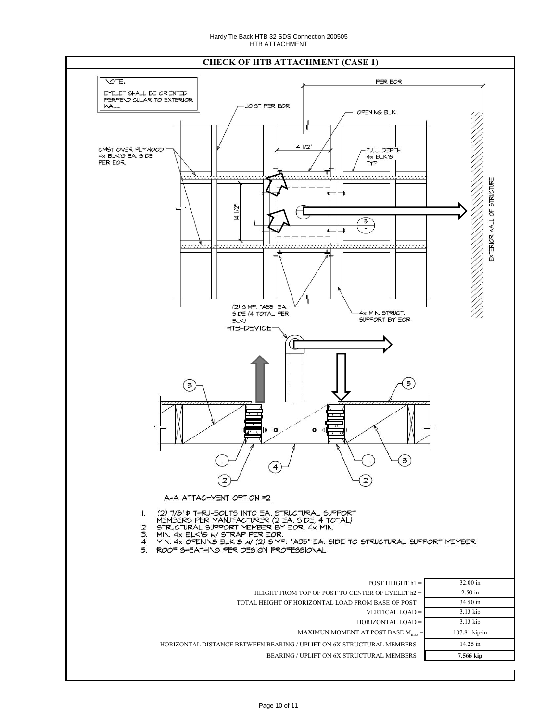